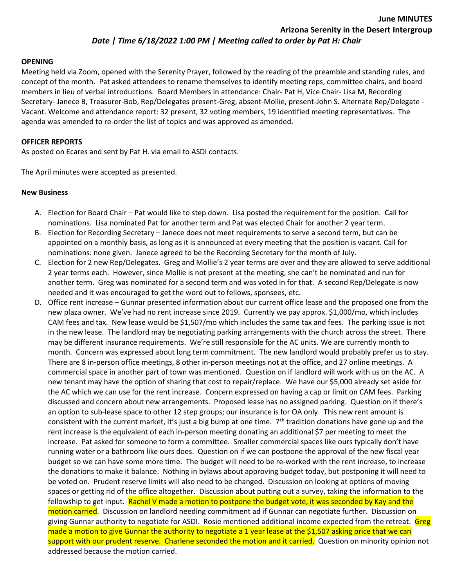## Date | Time 6/18/2022 1:00 PM | Meeting called to order by Pat H: Chair

#### OPENING

Meeting held via Zoom, opened with the Serenity Prayer, followed by the reading of the preamble and standing rules, and concept of the month. Pat asked attendees to rename themselves to identify meeting reps, committee chairs, and board members in lieu of verbal introductions. Board Members in attendance: Chair- Pat H, Vice Chair- Lisa M, Recording Secretary- Janece B, Treasurer-Bob, Rep/Delegates present-Greg, absent-Mollie, present-John S. Alternate Rep/Delegate - Vacant. Welcome and attendance report: 32 present, 32 voting members, 19 identified meeting representatives. The agenda was amended to re-order the list of topics and was approved as amended.

### OFFICER REPORTS

As posted on Ecares and sent by Pat H. via email to ASDI contacts.

The April minutes were accepted as presented.

### New Business

- A. Election for Board Chair Pat would like to step down. Lisa posted the requirement for the position. Call for nominations. Lisa nominated Pat for another term and Pat was elected Chair for another 2 year term.
- B. Election for Recording Secretary Janece does not meet requirements to serve a second term, but can be appointed on a monthly basis, as long as it is announced at every meeting that the position is vacant. Call for nominations: none given. Janece agreed to be the Recording Secretary for the month of July.
- C. Election for 2 new Rep/Delegates. Greg and Mollie's 2 year terms are over and they are allowed to serve additional 2 year terms each. However, since Mollie is not present at the meeting, she can't be nominated and run for another term. Greg was nominated for a second term and was voted in for that. A second Rep/Delegate is now needed and it was encouraged to get the word out to fellows, sponsees, etc.
- D. Office rent increase Gunnar presented information about our current office lease and the proposed one from the new plaza owner. We've had no rent increase since 2019. Currently we pay approx. \$1,000/mo, which includes CAM fees and tax. New lease would be \$1,507/mo which includes the same tax and fees. The parking issue is not in the new lease. The landlord may be negotiating parking arrangements with the church across the street. There may be different insurance requirements. We're still responsible for the AC units. We are currently month to month. Concern was expressed about long term commitment. The new landlord would probably prefer us to stay. There are 8 in-person office meetings, 8 other in-person meetings not at the office, and 27 online meetings. A commercial space in another part of town was mentioned. Question on if landlord will work with us on the AC. A new tenant may have the option of sharing that cost to repair/replace. We have our \$5,000 already set aside for the AC which we can use for the rent increase. Concern expressed on having a cap or limit on CAM fees. Parking discussed and concern about new arrangements. Proposed lease has no assigned parking. Question on if there's an option to sub-lease space to other 12 step groups; our insurance is for OA only. This new rent amount is consistent with the current market, it's just a big bump at one time. 7<sup>th</sup> tradition donations have gone up and the rent increase is the equivalent of each in-person meeting donating an additional \$7 per meeting to meet the increase. Pat asked for someone to form a committee. Smaller commercial spaces like ours typically don't have running water or a bathroom like ours does. Question on if we can postpone the approval of the new fiscal year budget so we can have some more time. The budget will need to be re-worked with the rent increase, to increase the donations to make it balance. Nothing in bylaws about approving budget today, but postponing it will need to be voted on. Prudent reserve limits will also need to be changed. Discussion on looking at options of moving spaces or getting rid of the office altogether. Discussion about putting out a survey, taking the information to the fellowship to get input. Rachel V made a motion to postpone the budget vote, it was seconded by Kay and the motion carried. Discussion on landlord needing commitment ad if Gunnar can negotiate further. Discussion on giving Gunnar authority to negotiate for ASDI. Rosie mentioned additional income expected from the retreat. Greg made a motion to give Gunnar the authority to negotiate a 1 year lease at the \$1,507 asking price that we can support with our prudent reserve. Charlene seconded the motion and it carried. Question on minority opinion not addressed because the motion carried.